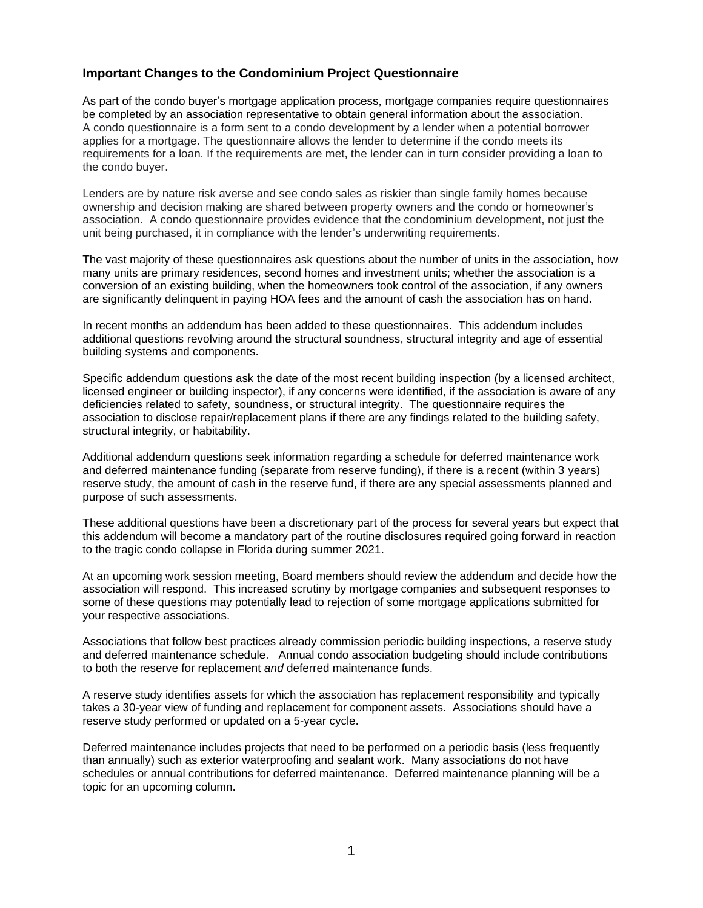## **Important Changes to the Condominium Project Questionnaire**

As part of the condo buyer's mortgage application process, mortgage companies require questionnaires be completed by an association representative to obtain general information about the association. A condo questionnaire is a form sent to a condo development by a lender when a potential borrower applies for a mortgage. The questionnaire allows the lender to determine if the condo meets its requirements for a loan. If the requirements are met, the lender can in turn consider providing a loan to the condo buyer.

Lenders are by nature risk averse and see condo sales as riskier than single family homes because ownership and decision making are shared between property owners and the condo or homeowner's association. A condo questionnaire provides evidence that the condominium development, not just the unit being purchased, it in compliance with the lender's underwriting requirements.

The vast majority of these questionnaires ask questions about the number of units in the association, how many units are primary residences, second homes and investment units; whether the association is a conversion of an existing building, when the homeowners took control of the association, if any owners are significantly delinquent in paying HOA fees and the amount of cash the association has on hand.

In recent months an addendum has been added to these questionnaires. This addendum includes additional questions revolving around the structural soundness, structural integrity and age of essential building systems and components.

Specific addendum questions ask the date of the most recent building inspection (by a licensed architect, licensed engineer or building inspector), if any concerns were identified, if the association is aware of any deficiencies related to safety, soundness, or structural integrity. The questionnaire requires the association to disclose repair/replacement plans if there are any findings related to the building safety, structural integrity, or habitability.

Additional addendum questions seek information regarding a schedule for deferred maintenance work and deferred maintenance funding (separate from reserve funding), if there is a recent (within 3 years) reserve study, the amount of cash in the reserve fund, if there are any special assessments planned and purpose of such assessments.

These additional questions have been a discretionary part of the process for several years but expect that this addendum will become a mandatory part of the routine disclosures required going forward in reaction to the tragic condo collapse in Florida during summer 2021.

At an upcoming work session meeting, Board members should review the addendum and decide how the association will respond. This increased scrutiny by mortgage companies and subsequent responses to some of these questions may potentially lead to rejection of some mortgage applications submitted for your respective associations.

Associations that follow best practices already commission periodic building inspections, a reserve study and deferred maintenance schedule. Annual condo association budgeting should include contributions to both the reserve for replacement *and* deferred maintenance funds.

A reserve study identifies assets for which the association has replacement responsibility and typically takes a 30-year view of funding and replacement for component assets. Associations should have a reserve study performed or updated on a 5-year cycle.

Deferred maintenance includes projects that need to be performed on a periodic basis (less frequently than annually) such as exterior waterproofing and sealant work. Many associations do not have schedules or annual contributions for deferred maintenance. Deferred maintenance planning will be a topic for an upcoming column.